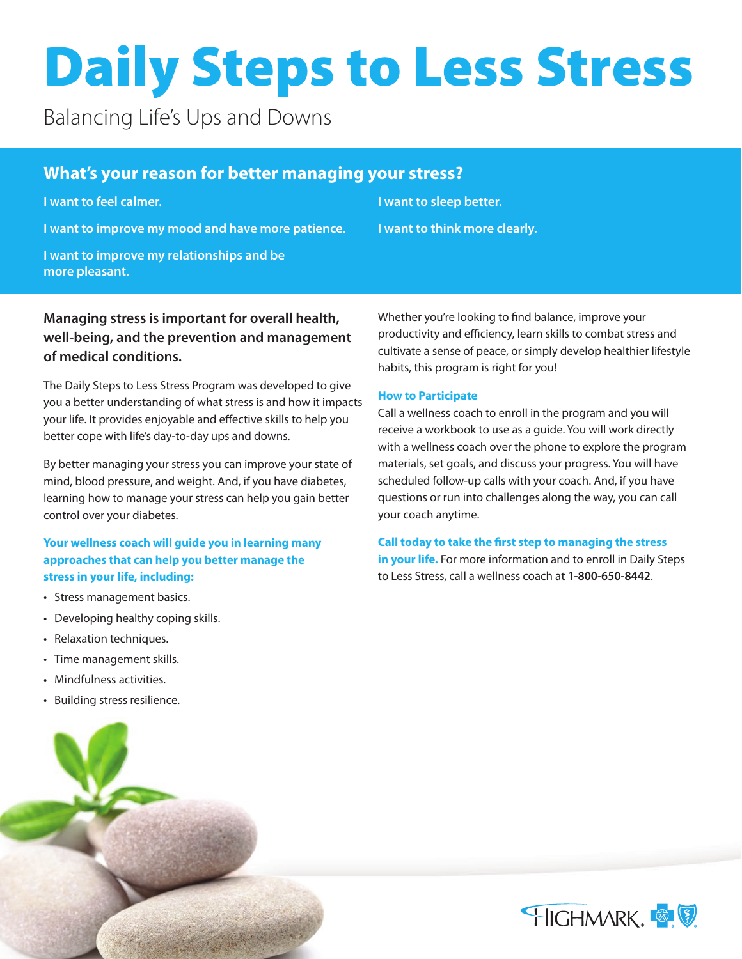# Daily Steps to Less Stress

Balancing Life's Ups and Downs

# **What's your reason for better managing your stress?**

**I want to feel calmer.**

**I want to improve my mood and have more patience.**

**I want to improve my relationships and be more pleasant.**

**I want to sleep better. I want to think more clearly.**

## **Managing stress is important for overall health, well-being, and the prevention and management of medical conditions.**

The Daily Steps to Less Stress Program was developed to give you a better understanding of what stress is and how it impacts your life. It provides enjoyable and effective skills to help you better cope with life's day-to-day ups and downs.

By better managing your stress you can improve your state of mind, blood pressure, and weight. And, if you have diabetes, learning how to manage your stress can help you gain better control over your diabetes.

## **Your wellness coach will guide you in learning many approaches that can help you better manage the stress in your life, including:**

- Stress management basics.
- Developing healthy coping skills.
- Relaxation techniques.
- Time management skills.
- Mindfulness activities.
- Building stress resilience.



Whether you're looking to find balance, improve your productivity and efficiency, learn skills to combat stress and cultivate a sense of peace, or simply develop healthier lifestyle habits, this program is right for you!

### **How to Participate**

Call a wellness coach to enroll in the program and you will receive a workbook to use as a guide. You will work directly with a wellness coach over the phone to explore the program materials, set goals, and discuss your progress. You will have scheduled follow-up calls with your coach. And, if you have questions or run into challenges along the way, you can call your coach anytime.

### **Call today to take the first step to managing the stress**

**in your life.** For more information and to enroll in Daily Steps to Less Stress, call a wellness coach at **1-800-650-8442**.